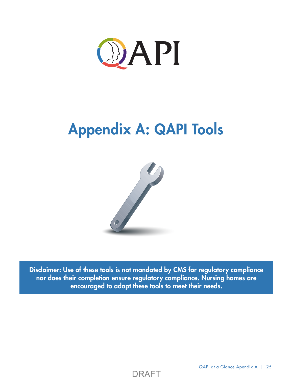

## Appendix A: QAPI Tools



Disclaimer: Use of these tools is not mandated by CMS for regulatory compliance nor does their completion ensure regulatory compliance. Nursing homes are encouraged to adapt these tools to meet their needs.



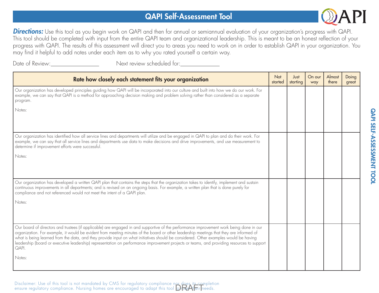## QAPI Self-Assessment Tool



**Directions:** Use this tool as you begin work on QAPI and then for annual or semiannual evaluation of your organization's progress with QAPI. This tool should be completed with input from the entire QAPI team and organizational leadership. This is meant to be an honest reflection of your progress with QAPI. The results of this assessment will direct you to areas you need to work on in order to establish QAPI in your organization. You may find it helpful to add notes under each item as to why you rated yourself a certain way.

Date of Review:

Next review scheduled for:\_\_\_\_\_\_\_\_\_\_\_\_\_\_\_

| Rate how closely each statement fits your organization                                                                                                                                                                                                                                                                                                                                                                                                                                                                                                                            | <b>Not</b><br>started | Just<br>starting | On our<br>way | Almost<br>there | Doing<br>great |
|-----------------------------------------------------------------------------------------------------------------------------------------------------------------------------------------------------------------------------------------------------------------------------------------------------------------------------------------------------------------------------------------------------------------------------------------------------------------------------------------------------------------------------------------------------------------------------------|-----------------------|------------------|---------------|-----------------|----------------|
| Our organization has developed principles guiding how QAPI will be incorporated into our culture and built into how we do our work. For<br>example, we can say that QAPI is a method for approaching decision making and problem solving rather than considered as a separate<br>program.                                                                                                                                                                                                                                                                                         |                       |                  |               |                 |                |
| Notes:                                                                                                                                                                                                                                                                                                                                                                                                                                                                                                                                                                            |                       |                  |               |                 |                |
| Our organization has identified how all service lines and departments will utilize and be engaged in QAPI to plan and do their work. For<br>example, we can say that all service lines and departments use data to make decisions and drive improvements, and use measurement to<br>determine if improvement efforts were successful.                                                                                                                                                                                                                                             |                       |                  |               |                 |                |
| Notes:                                                                                                                                                                                                                                                                                                                                                                                                                                                                                                                                                                            |                       |                  |               |                 |                |
| Our organization has developed a written QAPI plan that contains the steps that the organization takes to identify, implement and sustain<br>continuous improvements in all departments; and is revised on an ongoing basis. For example, a written plan that is done purely for<br>compliance and not referenced would not meet the intent of a QAPI plan.                                                                                                                                                                                                                       |                       |                  |               |                 |                |
| Notes:                                                                                                                                                                                                                                                                                                                                                                                                                                                                                                                                                                            |                       |                  |               |                 |                |
| Our board of directors and trustees (if applicable) are engaged in and supportive of the performance improvement work being done in our<br>organization. For example, it would be evident from meeting minutes of the board or other leadership meetings that they are informed of<br>what is being learned from the data, and they provide input on what initiatives should be considered. Other examples would be having<br>leadership (board or executive leadership) representation on performance improvement projects or teams, and providing resources to support<br>QAPI. |                       |                  |               |                 |                |
| Notes:                                                                                                                                                                                                                                                                                                                                                                                                                                                                                                                                                                            |                       |                  |               |                 |                |

Disclaimer: Use of this tool is not mandated by CMS for regulatory compliance nor does its completion ensure regulatory compliance. Nursing homes are encouraged to adapt this tool **DRAF** Treeds.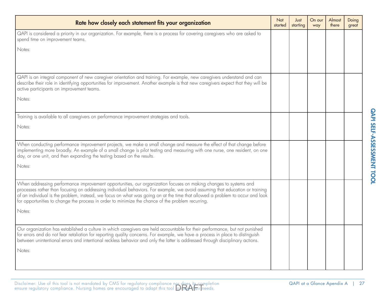| Rate how closely each statement fits your organization                                                                                                                                                                                                                                                                                                                                                                                                                                | Not<br>started | Just<br>starting | On our<br>way | Almost<br>there | Doing<br>great |
|---------------------------------------------------------------------------------------------------------------------------------------------------------------------------------------------------------------------------------------------------------------------------------------------------------------------------------------------------------------------------------------------------------------------------------------------------------------------------------------|----------------|------------------|---------------|-----------------|----------------|
| QAPI is considered a priority in our organization. For example, there is a process for covering caregivers who are asked to<br>spend time on improvement teams.                                                                                                                                                                                                                                                                                                                       |                |                  |               |                 |                |
| Notes:                                                                                                                                                                                                                                                                                                                                                                                                                                                                                |                |                  |               |                 |                |
|                                                                                                                                                                                                                                                                                                                                                                                                                                                                                       |                |                  |               |                 |                |
| QAPI is an integral component of new caregiver orientation and training. For example, new caregivers understand and can<br>describe their role in identifying opportunities for improvement. Another example is that new caregivers expect that they will be<br>active participants on improvement teams.                                                                                                                                                                             |                |                  |               |                 |                |
| Notes:                                                                                                                                                                                                                                                                                                                                                                                                                                                                                |                |                  |               |                 |                |
| Training is available to all caregivers on performance improvement strategies and tools.                                                                                                                                                                                                                                                                                                                                                                                              |                |                  |               |                 |                |
| Notes:                                                                                                                                                                                                                                                                                                                                                                                                                                                                                |                |                  |               |                 |                |
| When conducting performance improvement projects, we make a small change and measure the effect of that change before<br>implementing more broadly. An example of a small change is pilot testing and measuring with one nurse, one resident, on one<br>day, or one unit, and then expanding the testing based on the results.                                                                                                                                                        |                |                  |               |                 |                |
| Notes:                                                                                                                                                                                                                                                                                                                                                                                                                                                                                |                |                  |               |                 |                |
| When addressing performance improvement opportunities, our organization focuses on making changes to systems and<br>processes rather than focusing on addressing individual behaviors. For example, we avoid assuming that education or training<br>of an individual is the problem, instead, we focus on what was going on at the time that allowed a problem to occur and look<br>for opportunities to change the process in order to minimize the chance of the problem recurring. |                |                  |               |                 |                |
| Notes:                                                                                                                                                                                                                                                                                                                                                                                                                                                                                |                |                  |               |                 |                |
| Our organization has established a culture in which caregivers are held accountable for their performance, but not punished<br>for errors and do not fear retaliation for reporting quality concerns. For example, we have a process in place to distinguish<br>between unintentional errors and intentional reckless behavior and only the latter is addressed through disciplinary actions.                                                                                         |                |                  |               |                 |                |
| Notes:                                                                                                                                                                                                                                                                                                                                                                                                                                                                                |                |                  |               |                 |                |
|                                                                                                                                                                                                                                                                                                                                                                                                                                                                                       |                |                  |               |                 |                |

|  |  | Disclaimer: Use of this tool is not mandated by CMS for regulatory compliance nor does its completion<br>ensure regulatory compliance. Nursing homes are encouraged to adapt this tool <b>Directle</b> ri needs. |  |
|--|--|------------------------------------------------------------------------------------------------------------------------------------------------------------------------------------------------------------------|--|

QAPI SELF-ASSESSMENT TOOL

QAPI SELF-ASSESSMENT TOOL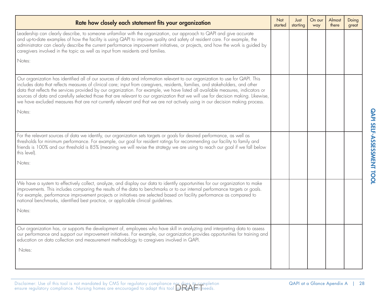| starting | way | there | great |
|----------|-----|-------|-------|
|          |     |       |       |
|          |     |       |       |
|          |     |       |       |
|          |     |       |       |
|          |     |       |       |
|          |     |       |       |
|          |     |       |       |
|          |     |       |       |
|          |     |       |       |
|          |     |       |       |

| Disclaimer: Use of this tool is not mandated by CMS for regulatory compliance nor does its completion<br>ensure regulatory compliance. Nursing homes are encouraged to adapt this tool $\bigcirc$ |  |  |
|---------------------------------------------------------------------------------------------------------------------------------------------------------------------------------------------------|--|--|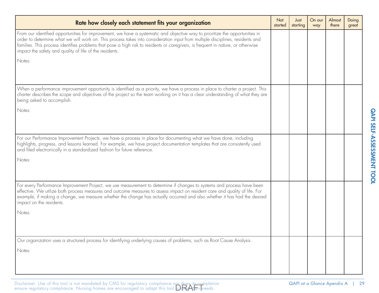| Rate how closely each statement fits your organization                                                                                                                                                                                                                                                                                                                                                                                                       | <b>Not</b><br>started | Just<br>starting | On our<br>way | Almost<br>there | Doing<br>great |
|--------------------------------------------------------------------------------------------------------------------------------------------------------------------------------------------------------------------------------------------------------------------------------------------------------------------------------------------------------------------------------------------------------------------------------------------------------------|-----------------------|------------------|---------------|-----------------|----------------|
| From our identified opportunities for improvement, we have a systematic and objective way to prioritize the opportunities in<br>order to determine what we will work on. This process takes into consideration input from multiple disciplines, residents and<br>families. This process identifies problems that pose a high risk to residents or caregivers, is frequent in nature, or otherwise<br>impact the safety and quality of life of the residents. |                       |                  |               |                 |                |
| Notes:                                                                                                                                                                                                                                                                                                                                                                                                                                                       |                       |                  |               |                 |                |
| When a performance improvement opportunity is identified as a priority, we have a process in place to charter a project. This<br>charter describes the scope and objectives of the project so the team working on it has a clear understanding of what they are<br>being asked to accomplish.                                                                                                                                                                |                       |                  |               |                 |                |
| Notes:                                                                                                                                                                                                                                                                                                                                                                                                                                                       |                       |                  |               |                 |                |
| For our Performance Improvement Projects, we have a process in place for documenting what we have done, including<br>highlights, progress, and lessons learned. For example, we have project documentation templates that are consistently used<br>and filed electronically in a standardized fashion for future reference.                                                                                                                                  |                       |                  |               |                 |                |
| Notes:                                                                                                                                                                                                                                                                                                                                                                                                                                                       |                       |                  |               |                 |                |
| For every Performance Improvement Project, we use measurement to determine if changes to systems and process have been<br>effective. We utilize both process measures and outcome measures to assess impact on resident care and quality of life. For<br>example, if making a change, we measure whether the change has actually occurred and also whether it has had the desired<br>impact on the residents.                                                |                       |                  |               |                 |                |
| Notes:                                                                                                                                                                                                                                                                                                                                                                                                                                                       |                       |                  |               |                 |                |
| Our organization uses a structured process for identifying underlying causes of problems, such as Root Cause Analysis.                                                                                                                                                                                                                                                                                                                                       |                       |                  |               |                 |                |
| Notes:                                                                                                                                                                                                                                                                                                                                                                                                                                                       |                       |                  |               |                 |                |
|                                                                                                                                                                                                                                                                                                                                                                                                                                                              |                       |                  |               |                 |                |

Disclaimer: Use of this tool is not mandated by CMS for regulatory compliance nor does it<u>s co</u>mpletionensure regulatory compliance. Nursing homes are encouraged to adapt this tool **DRAF** Treeds.

QAPI SELF-ASSESSMENT TOOL

QAPI SELF-ASSESSMENT TOOL